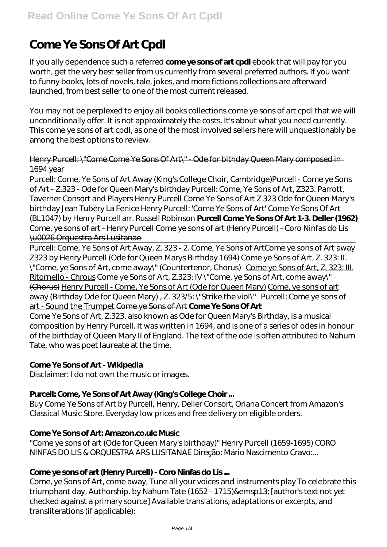# **Come Ye Sons Of Art Cpdl**

If you ally dependence such a referred **come ye sons of art cpdl** ebook that will pay for you worth, get the very best seller from us currently from several preferred authors. If you want to funny books, lots of novels, tale, jokes, and more fictions collections are afterward launched, from best seller to one of the most current released.

You may not be perplexed to enjoy all books collections come ye sons of art cpdl that we will unconditionally offer. It is not approximately the costs. It's about what you need currently. This come ye sons of art cpdl, as one of the most involved sellers here will unquestionably be among the best options to review.

#### Henry Purcell: \"Come Come Ye Sons Of Art\" - Ode for bithday Queen Mary composed in 1694 year

Purcell: Come, Ye Sons of Art Away (King's College Choir, Cambridge) Purcell - Come ye Sons of Art - Z.323 - Ode for Queen Mary's birthday *Purcell: Come, Ye Sons of Art, Z323. Parrott, Taverner Consort and Players Henry Purcell Come Ye Sons of Art Z 323 Ode for Queen Mary's birthday Jean Tubéry La Fenice Henry Purcell: 'Come Ye Sons of Art' Come Ye Sons Of Art (BL1047) by Henry Purcell arr. Russell Robinson* **Purcell Come Ye Sons Of Art 1-3. Deller (1962)** Come, ye sons of art - Henry Purcell Come ye sons of art (Henry Purcell) - Coro Ninfas do Lis \u0026 Orquestra Ars Lusitanae

Purcell: Come, Ye Sons of Art Away, Z. 323 - 2. Come, Ye Sons of Art*Come ye sons of Art away Z323 by Henry Purcell (Ode for Queen Marys Birthday 1694)* Come ye Sons of Art, Z. 323: II. \"Come, ye Sons of Art, come away\" (Countertenor, Chorus) Come ye Sons of Art, Z. 323: III. Ritornello - Chrous Come ye Sons of Art, Z.323: IV \"Come, ye Sons of Art, come away\" (Chorus) Henry Purcell - Come, Ye Sons of Art (Ode for Queen Mary) Come, ye sons of art away (Birthday Ode for Queen Mary), Z. 323/5: \"Strike the viol\" Purcell: Come ye sons of art - Sound the Trumpet Come ye Sons of Art **Come Ye Sons Of Art** Come Ye Sons of Art, Z.323, also known as Ode for Queen Mary's Birthday, is a musical composition by Henry Purcell. It was written in 1694, and is one of a series of odes in honour of the birthday of Queen Mary II of England. The text of the ode is often attributed to Nahum Tate, who was poet laureate at the time.

#### **Come Ye Sons of Art - Wikipedia**

Disclaimer: I do not own the music or images.

#### **Purcell: Come, Ye Sons of Art Away (King's College Choir ...**

Buy Come Ye Sons of Art by Purcell, Henry, Deller Consort, Oriana Concert from Amazon's Classical Music Store. Everyday low prices and free delivery on eligible orders.

#### **Come Ye Sons of Art: Amazon.co.uk: Music**

"Come ye sons of art (Ode for Queen Mary's birthday)" Henry Purcell (1659-1695) CORO NINFAS DO LIS & ORQUESTRA ARS LUSITANAE Direção: Mário Nascimento Cravo:...

#### **Come ye sons of art (Henry Purcell) - Coro Ninfas do Lis ...**

Come, ye Sons of Art, come away, Tune all your voices and instruments play To celebrate this triumphant day. Authorship. by Nahum Tate (1652 - 1715)& emsp13; [author's text not yet checked against a primary source] Available translations, adaptations or excerpts, and transliterations (if applicable):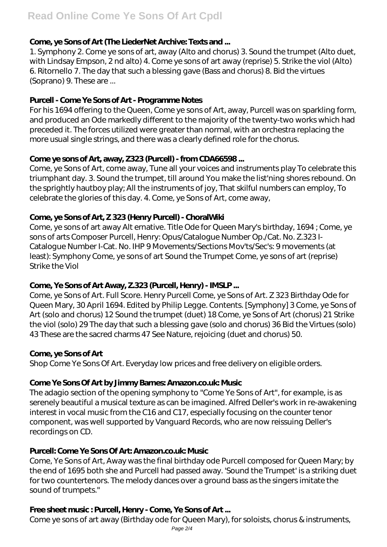# **Come, ye Sons of Art (The LiederNet Archive: Texts and ...**

1. Symphony 2. Come ye sons of art, away (Alto and chorus) 3. Sound the trumpet (Alto duet, with Lindsay Empson, 2 nd alto) 4. Come ye sons of art away (reprise) 5. Strike the viol (Alto) 6. Ritornello 7. The day that such a blessing gave (Bass and chorus) 8. Bid the virtues (Soprano) 9. These are ...

# **Purcell - Come Ye Sons of Art - Programme Notes**

For his 1694 offering to the Queen, Come ye sons of Art, away, Purcell was on sparkling form, and produced an Ode markedly different to the majority of the twenty-two works which had preceded it. The forces utilized were greater than normal, with an orchestra replacing the more usual single strings, and there was a clearly defined role for the chorus.

# **Come ye sons of Art, away, Z323 (Purcell) - from CDA66598 ...**

Come, ye Sons of Art, come away, Tune all your voices and instruments play To celebrate this triumphant day. 3. Sound the trumpet, till around You make the list'ning shores rebound. On the sprightly hautboy play; All the instruments of joy, That skilful numbers can employ, To celebrate the glories of this day. 4. Come, ye Sons of Art, come away,

# **Come, ye Sons of Art, Z 323 (Henry Purcell) - ChoralWiki**

Come, ye sons of art away Alt ernative. Title Ode for Queen Mary's birthday, 1694 ; Come, ye sons of arts Composer Purcell, Henry: Opus/Catalogue Number Op./Cat. No. Z.323 I-Catalogue Number I-Cat. No. IHP 9 Movements/Sections Mov'ts/Sec's: 9 movements (at least): Symphony Come, ye sons of art Sound the Trumpet Come, ye sons of art (reprise) Strike the Viol

# **Come, Ye Sons of Art Away, Z.323 (Purcell, Henry) - IMSLP ...**

Come, ye Sons of Art. Full Score. Henry Purcell Come, ye Sons of Art. Z 323 Birthday Ode for Queen Mary, 30 April 1694. Edited by Philip Legge. Contents. [Symphony] 3 Come, ye Sons of Art (solo and chorus) 12 Sound the trumpet (duet) 18 Come, ye Sons of Art (chorus) 21 Strike the viol (solo) 29 The day that such a blessing gave (solo and chorus) 36 Bid the Virtues (solo) 43 These are the sacred charms 47 See Nature, rejoicing (duet and chorus) 50.

#### **Come, ye Sons of Art**

Shop Come Ye Sons Of Art. Everyday low prices and free delivery on eligible orders.

#### **Come Ye Sons Of Art by Jimmy Barnes: Amazon.co.uk: Music**

The adagio section of the opening symphony to "Come Ye Sons of Art", for example, is as serenely beautiful a musical texture as can be imagined. Alfred Deller's work in re-awakening interest in vocal music from the C16 and C17, especially focusing on the counter tenor component, was well supported by Vanguard Records, who are now reissuing Deller's recordings on CD.

# **Purcell: Come Ye Sons Of Art: Amazon.co.uk: Music**

Come, Ye Sons of Art, Away was the final birthday ode Purcell composed for Queen Mary; by the end of 1695 both she and Purcell had passed away. 'Sound the Trumpet' is a striking duet for two countertenors. The melody dances over a ground bass as the singers imitate the sound of trumpets."

# **Free sheet music : Purcell, Henry - Come, Ye Sons of Art ...**

Come ye sons of art away (Birthday ode for Queen Mary), for soloists, chorus & instruments,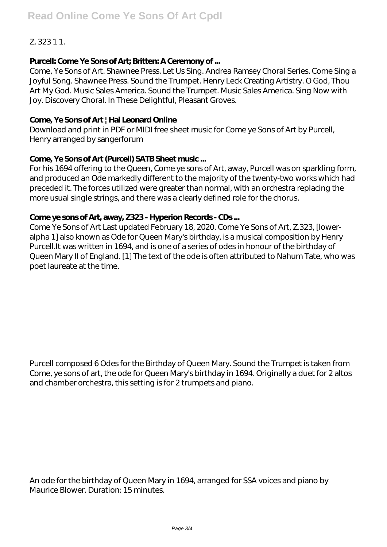# Z. 323 1 1.

#### **Purcell: Come Ye Sons of Art; Britten: A Ceremony of ...**

Come, Ye Sons of Art. Shawnee Press. Let Us Sing. Andrea Ramsey Choral Series. Come Sing a Joyful Song. Shawnee Press. Sound the Trumpet. Henry Leck Creating Artistry. O God, Thou Art My God. Music Sales America. Sound the Trumpet. Music Sales America. Sing Now with Joy. Discovery Choral. In These Delightful, Pleasant Groves.

#### **Come, Ye Sons of Art | Hal Leonard Online**

Download and print in PDF or MIDI free sheet music for Come ye Sons of Art by Purcell, Henry arranged by sangerforum

#### **Come, Ye Sons of Art (Purcell) SATB Sheet music ...**

For his 1694 offering to the Queen, Come ye sons of Art, away, Purcell was on sparkling form, and produced an Ode markedly different to the majority of the twenty-two works which had preceded it. The forces utilized were greater than normal, with an orchestra replacing the more usual single strings, and there was a clearly defined role for the chorus.

#### **Come ye sons of Art, away, Z323 - Hyperion Records - CDs ...**

Come Ye Sons of Art Last updated February 18, 2020. Come Ye Sons of Art, Z.323, [loweralpha 1] also known as Ode for Queen Mary's birthday, is a musical composition by Henry Purcell.It was written in 1694, and is one of a series of odes in honour of the birthday of Queen Mary II of England. [1] The text of the ode is often attributed to Nahum Tate, who was poet laureate at the time.

Purcell composed 6 Odes for the Birthday of Queen Mary. Sound the Trumpet is taken from Come, ye sons of art, the ode for Queen Mary's birthday in 1694. Originally a duet for 2 altos and chamber orchestra, this setting is for 2 trumpets and piano.

An ode for the birthday of Queen Mary in 1694, arranged for SSA voices and piano by Maurice Blower. Duration: 15 minutes.